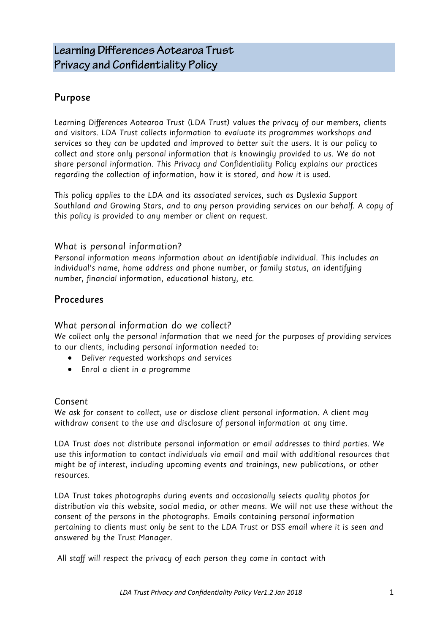# Purpose

Learning Differences Aotearoa Trust (LDA Trust) values the privacy of our members, clients and visitors. LDA Trust collects information to evaluate its programmes workshops and services so they can be updated and improved to better suit the users. It is our policy to collect and store only personal information that is knowingly provided to us. We do not share personal information. This Privacy and Confidentiality Policy explains our practices regarding the collection of information, how it is stored, and how it is used.

This policy applies to the LDA and its associated services, such as Dyslexia Support Southland and Growing Stars, and to any person providing services on our behalf. A copy of this policy is provided to any member or client on request.

## What is personal information?

Personal information means information about an identifiable individual. This includes an individual's name, home address and phone number, or family status, an identifying number, financial information, educational history, etc.

# Procedures

What personal information do we collect?

We collect only the personal information that we need for the purposes of providing services to our clients, including personal information needed to:

- Deliver requested workshops and services
- Enrol a client in a programme

#### Consent

We ask for consent to collect, use or disclose client personal information. A client may withdraw consent to the use and disclosure of personal information at any time.

LDA Trust does not distribute personal information or email addresses to third parties. We use this information to contact individuals via email and mail with additional resources that might be of interest, including upcoming events and trainings, new publications, or other resources.

LDA Trust takes photographs during events and occasionally selects quality photos for distribution via this website, social media, or other means. We will not use these without the consent of the persons in the photographs. Emails containing personal information pertaining to clients must only be sent to the LDA Trust or DSS email where it is seen and answered by the Trust Manager.

All staff will respect the privacy of each person they come in contact with